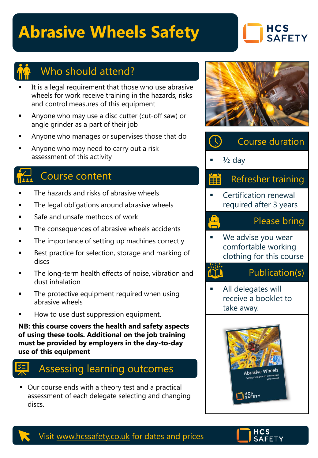# **Abrasive Wheels Safety**

### **HCS SAFETY**



## Who should attend?

- It is a legal requirement that those who use abrasive wheels for work receive training in the hazards, risks and control measures of this equipment
- Anyone who may use a disc cutter (cut-off saw) or angle grinder as a part of their job
- Anyone who manages or supervises those that do
- Anyone who may need to carry out a risk assessment of this activity

## Course content

- The hazards and risks of abrasive wheels
- The legal obligations around abrasive wheels
- Safe and unsafe methods of work
- The consequences of abrasive wheels accidents
- The importance of setting up machines correctly
- Best practice for selection, storage and marking of discs
- The long-term health effects of noise, vibration and dust inhalation
- The protective equipment required when using abrasive wheels
- How to use dust suppression equipment.

**NB: this course covers the health and safety aspects of using these tools. Additional on the job training must be provided by employers in the day-to-day use of this equipment**

## Assessing learning outcomes

■ Our course ends with a theory test and a practical assessment of each delegate selecting and changing discs.





 $\frac{1}{2}$  day

رے<br>ص

## Refresher training

**Certification renewal** required after 3 years

#### Please bring

We advise you wear comfortable working clothing for this course

### Publication(s)

All delegates will receive a booklet to take away.





#### Visit [www.hcssafety.co.uk](http://www.hcssafety.co.uk/) for dates and prices